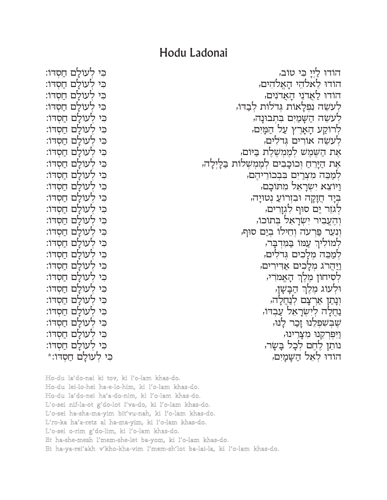## Hodu Ladonai

כי לעולם חסדו: כי לעולם חסדו: כי לעולם חסדו: כי לעולם חסדו: כי לעולם חסדו: כי לעולם חסדו: כי לעולם חסדו: כי לעולם חסדו: כי לעולם חסדו: כי לעולם חסדו: כִּי לְעוֹלַם חַסדוֹ: כי לעולם חסדו: כי לעולם חסדו: כי לעולם חסדו: כי לעולם חסדו: כי לעולם חסדו: כי לעולם חסדו: כִּי לְעוֹלַם חַסְדוֹ: כי לעולם חסדו: כי לעולם חסדו: כי לעולם חסדו: כי לעולם חסדו: כי לעולם חסדו: כי לעולם חסדו: כי לעולם חסדו: כִּי לְעוֹלַם חַסְדוֹ:\*

הוֹדוּ ליי כי טוֹב, הודו לאלהי האלהים, הודו לאדני האדנים, לעשה נפלאות גדלות לבדו, לעשה השמים בתבונה, לרוקע הארץ על המים, לעשה אורים גדלים, אֶת הַשֶּׁמֵשׁ לְמֶמְשֶׁלֶת בַּיּוֹם, אֶת הַיַּרְחַ וְכוֹכָבִים לְמֶמְשָׁלוֹת בַּלַיְלַה, למכה מצרים בבכוריהם, וַיּוֹצֵא יְשַׂרַאֵל מַתּוֹכֵם, בִּיַּד חֵזַקָה וּבִזְרוֹעַ נְטוּיַה, לגזר ים סוף לגזרים, וְהֶעֱבִיר יִשְרַאֵל בתוֹכוֹ, וְנָעֲר פֵרעה וְחֵילוֹ בִיַם סוּף, למוליך עמו במדבר, למכה מלכים גדלים, <u>ויהרג מלכים א</u>דירים, לִסְיחוֹן מֵלֵךְ הַאֲמֹרִי, ּוֹלְעוֹג מֶלֶךְ הַבָּשָׂן, ונתו ארצם לנחלה, נחלה לישראל עבדו, שָׁבִּשְׁפַלֵנוּ זַכֲר לַנוּ, וַיִּפְרְקֵנוּ מִצָּרֵינוּ, נותן לחם לכל בַשַּׂר, הודו לאל השמים,

Ho-du la'do-nai ki tov, ki l'o-lam khas-do. Ho-du lei-lo-hei ha-e-lo-him, ki l'o-lam khas-do. Ho-du la'do-nei ha'a-do-nim, ki l'o-lam khas-do. L'o-sei nif-la-ot g'do-lot l'va-do, ki l'o-lam khas-do. L'o-sei ha-sha-ma-yim bit'vu-nah, ki l'o-lam khas-do. L'ro-ka ha'a-retz al ha-ma-yim, ki l'o-lam khas-do. L'o-sei o-rim g'do-lim, ki l'o-lam khas-do. Et ha-she-mesh l'mem-she-let ba-yom, ki l'o-lam khas-do. Et ha-ya-rei'akh v'kho-kha-vim l'mem-sh'lot ba-lai-la, ki l'o-lam khas-do.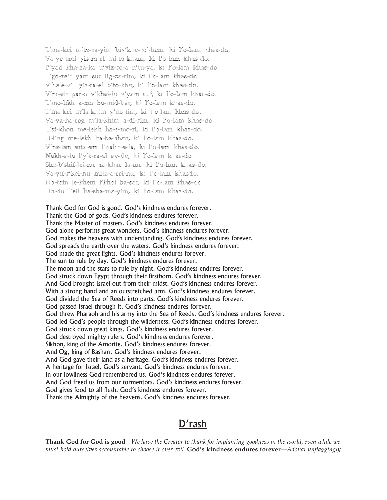L'ma-kei mitz-ra-yim biv'kho-rei-hem, ki l'o-lam khas-do. Va-yo-tzei yis-ra-el mi-to-kham, ki l'o-lam khas-do. B'yad kha-za-ka u'viz-ro-a n'tu-ya, ki l'o-lam khas-do. L'go-zeir yam suf lig-za-rim, ki l'o-lam khas-do. V'he'e-vir yis-ra-el b'to-kho, ki l'o-lam khas-do. V'ni-eir par-o v'khei-lo v'yam suf, ki l'o-lam khas-do. L'mo-likh a-mo ba-mid-bar, ki l'o-lam khas-do. L'ma-kei m'la-khim g'do-lim, ki l'o-lam khas-do. Va-ya-ha-rog m'la-khim a-di-rim, ki l'o-lam khas-do. L'si-khon me-lekh ha-e-mo-ri, ki l'o-lam khas-do. U-l'og me-lekh ha-ba-shan, ki l'o-lam khas-do. V'na-tan artz-am l'nakh-a-la, ki l'o-lam khas-do. Nakh-a-la l'yis-ra-el av-do, ki l'o-lam khas-do. She-b'shif-lei-nu za-khar la-nu, ki l'o-lam khas-do. Va-yif-r'kei-nu mitz-a-rei-nu, ki l'o-lam khasdo. No-tein le-khem l'khol ba-sar, ki l'o-lam khas-do. Ho-du l'eil ha-sha-ma-yim, ki l'o-lam khas-do.

Thank God for God is good. God's kindness endures forever. Thank the God of gods. God's kindness endures forever. Thank the Master of masters. God's kindness endures forever. God alone performs great wonders. God's kindness endures forever. God makes the heavens with understanding. God's kindness endures forever. God spreads the earth over the waters. God's kindness endures forever. God made the great lights. God's kindness endures forever. The sun to rule by day. God's kindness endures forever. The moon and the stars to rule by night. God's kindness endures forever. God struck down Egypt through their firstborn. God's kindness endures forever. And God brought Israel out from their midst. God's kindness endures forever. With a strong hand and an outstretched arm. God's kindness endures forever. God divided the Sea of Reeds into parts. God's kindness endures forever. God passed Israel through it. God's kindness endures forever. God threw Pharaoh and his army into the Sea of Reeds. God's kindness endures forever. God led God's people through the wilderness. God's kindness endures forever. God struck down great kings. God's kindness endures forever. God destroyed mighty rulers. God's kindness endures forever. Sikhon, king of the Amorite. God's kindness endures forever. And Og, king of Bashan. God's kindness endures forever. And God gave their land as a heritage. God's kindness endures forever. A heritage for Israel, God's servant. God's kindness endures forever. In our lowliness God remembered us. God's kindness endures forever. And God freed us from our tormentors. God's kindness endures forever. God gives food to all flesh. God's kindness endures forever. Thank the Almighty of the heavens. God's kindness endures forever.

## D'rash

**Thank God for God is good***—We have the Creator to thank for implanting goodness in the world, even while we must hold ourselves accountable to choose it over evil.* **God's kindness endures forever***—Adonai unflaggingly*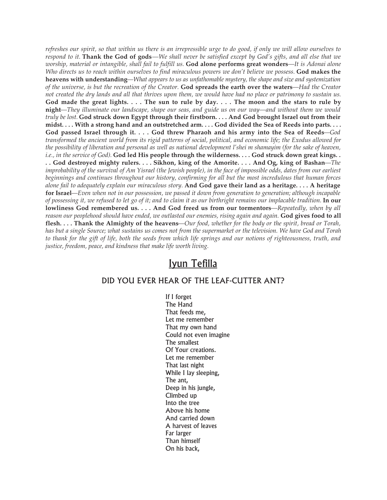refreshes our spirit, so that within us there is an irrepressible urge to do good, if only we will allow ourselves to respond to it. Thank the God of gods—We shall never be satisfied except by God's gifts, and all else that we worship, material or intangible, shall fail to fulfill us. God alone performs great wonders—It is Adonai alone Who directs us to reach within ourselves to find miraculous powers we don't believe we possess. God makes the **heavens with understanding***—What appears to us as unfathomable mystery, the shape and size and systemization* of the universe, is but the recreation of the Creator. God spreads the earth over the waters—Had the Creator not created the dry lands and all that thrives upon them, we would have had no place or patrimony to sustain us. God made the great lights. . . . The sun to rule by day. . . . The moon and the stars to rule by night—They illuminate our landscape, shape our seas, and guide us on our way—and without them we would truly be lost. God struck down Egypt through their firstborn.... And God brought Israel out from their midst.... With a strong hand and an outstretched arm.... God divided the Sea of Reeds into parts.... God passed Israel through it. . . . God threw Pharaoh and his army into the Sea of Reeds-God transformed the ancient world from its rigid patterns of social, political, and economic life; the Exodus allowed for the possibility of liberation and personal as well as national development l'shei m shamayim (for the sake of heaven, *i.e., in the service of God)*. God led His people through the wilderness.... God struck down great kings.. .. God destroyed mighty rulers.... Sikhon, king of the Amorite.... And Og, king of Bashan—The improbability of the survival of Am Yisrael (the Jewish people), in the face of impossible odds, dates from our earliest *beginnings and continues throughout our history, confirming for all but the most incredulous that human forces* alone fail to adequately explain our miraculous story. And God gave their land as a heritage.... A heritage for Israel-Even when not in our possession, we passed it down from generation to generation; although incapable of possessing it, we refused to let go of it; and to claim it as our birthright remains our implacable tradition. In our **lowliness God remembered us. . . . And God freed us from our tormentors***—Repeatedly, when by all reason our peoplehood should have ended, we outlasted our enemies, rising again and again.* **God gives food to all** flesh.... Thank the Almighty of the heavens—Our food, whether for the body or the spirit, bread or Torah, has but a single Source; what sustains us comes not from the supermarket or the television. We have God and Torah to thank for the gift of life, both the seeds from which life springs and our notions of righteousness, truth, and *justice, freedom, peace, and kindness that make life worth living.*

## Iyun Tefilla

## DID YOU EVER HEAR OF THE LEAF-CUTTER ANT?

If I forget The Hand That feeds me, Let me remember That my own hand Could not even imagine The smallest Of Your creations. Let me remember That last night While I lay sleeping, The ant, Deep in his jungle, Climbed up Into the tree Above his home And carried down A harvest of leaves Far larger Than himself On his back,